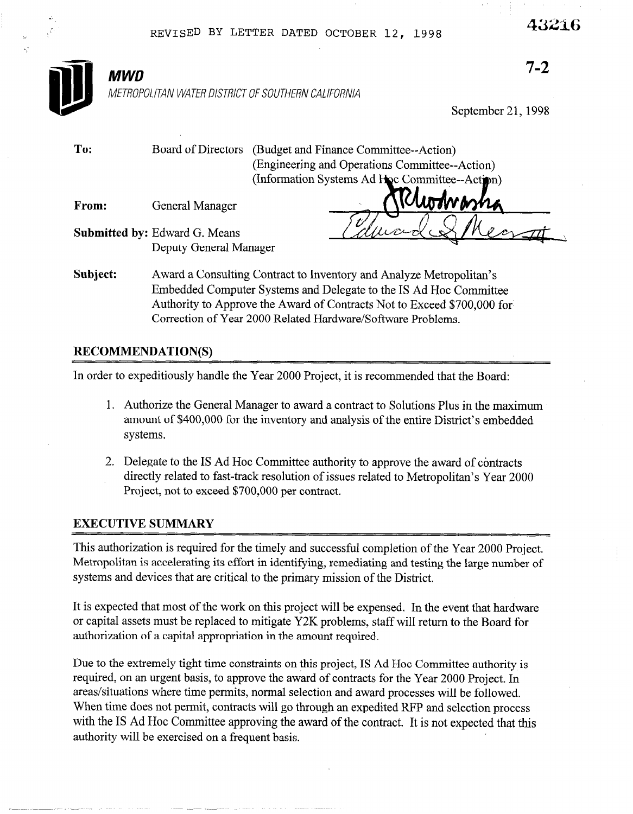**iB MWD**<br>METROP

7-2

METROPOLITAN WATER DISTRICT OF SOUTHERN CALIFORNIA

Deputy General Manager

September 21,199s

To: Board of Directors (Budget and Finance Committee--Action) (Engineering and Operations Committee--Action) (Information Systems Ad Hoc Committee--Action) From: General Manager Submitted by: Edward G. Means

Subject: Award a Consulting Contract to Inventory and Analyze Metropolitan's Embedded Computer Systems and Delegate to the IS Ad Hoc Committee Authority to Approve the Award of Contracts Not to Exceed \$700,000 for Correction of Year 2000 Related Hardware/Software Problems.

#### RECOMMENDATION(S)

In order to expeditiously handle the Year 2000 Project, it is recommended that the Board:

- 1. Authorize the General Manager to award a contract to Solutions Plus in the maximum amount of \$400,000 for the inventory and analysis of the entire District's embedded systems.
- 2. Delegate to the IS Ad Hoc Committee authority to approve the award of contracts directly related to fast-track resolution of issues related to Metropolitan's Year 2000 Project, not to exceed \$700,000 per contract.

#### EXECUTIVE SUMMARY

This authorization is required for the timely and successful completion of the Year 2000 Project. Metropolitan is accelerating its effort in identifying, remediating and testing the large number of systems and devices that are critical to the primary mission of the District.

It is expected that most of the work on this project will be expensed. In the event that hardware or capital assets must be replaced to mitigate Y2K problems, staff will return to the Board for authorization of a capital appropriation in the amount required.

Due to the extremely tight time constraints on this project, IS Ad Hoc Committee authority is required, on an urgent basis, to approve the award of contracts for the Year 2000 Project. In areas/situations where time permits, normal selection and award processes will be followed. When time does not permit, contracts will go through an expedited RFP and selection process with the IS Ad Hoc Committee approving the award of the contract. It is not expected that this authority will be exercised on a frequent basis.

43216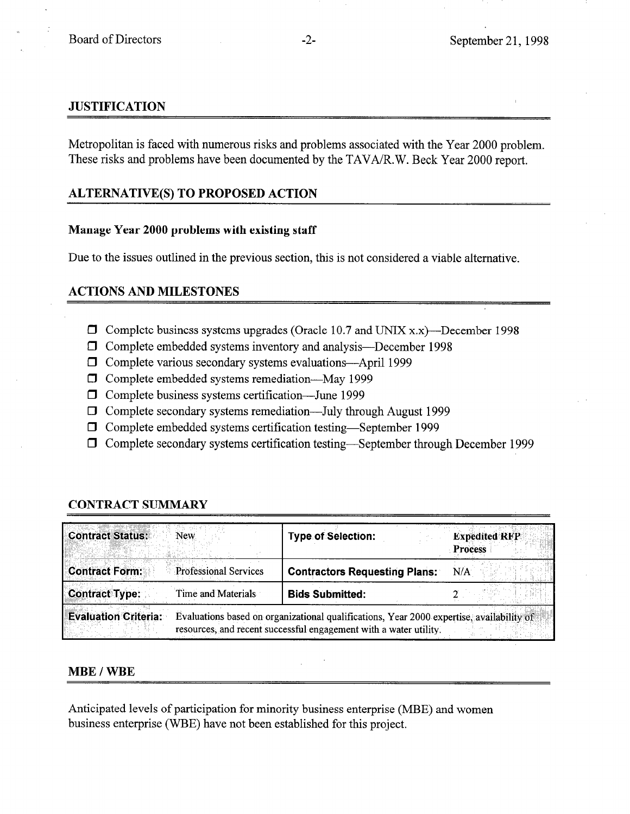## **JUSTIFICATION**

Metropolitan is faced with numerous risks and problems associated with the Year 2000 problem. These risks and problems have been documented by the TAVA/R.W. Beck Year 2000 report.

# ALTERNATIVE(S) TO PROPOSED ACTION

### Manage Year 2000 problems with existing staff

Due to the issues outlined in the previous section, this is not considered a viable alternative.

## ACTIONS AND MILESTONES

- $\Box$  Complete business systems upgrades (Oracle 10.7 and UNIX x.x)—December 1998
- •I Complete embedded systems inventory and analysis-December 1998
- $\Box$  Complete various secondary systems evaluations—April 1999
- 0 Complete embedded systems remediation-May 1999
- $\Box$  Complete business systems certification—June 1999
- $\Box$  Complete secondary systems remediation—July through August 1999
- 0 Complete embedded systems certification testing-September 1999
- $\Box$  Complete secondary systems certification testing—September through December 1999

| <b>Contract Status:</b><br>New.                       | <b>Type of Selection:</b>                                                                                                                                     | <b>Expedited RFP</b><br><b>Process</b> |
|-------------------------------------------------------|---------------------------------------------------------------------------------------------------------------------------------------------------------------|----------------------------------------|
| <b>Contract Form:</b><br><b>Professional Services</b> | <b>Contractors Requesting Plans:</b>                                                                                                                          | N/A                                    |
| <b>Contract Type:</b><br>Time and Materials           | <b>Bids Submitted:</b>                                                                                                                                        |                                        |
| <b>Evaluation Criteria:</b>                           | Evaluations based on organizational qualifications, Year 2000 expertise, availability of<br>resources, and recent successful engagement with a water utility. |                                        |

# CONTRACT SUMMARY

### MBE / WBE

Anticipated levels of participation for minority business enterprise (MBE) and women business enterprise (WBE) have not been established for this project.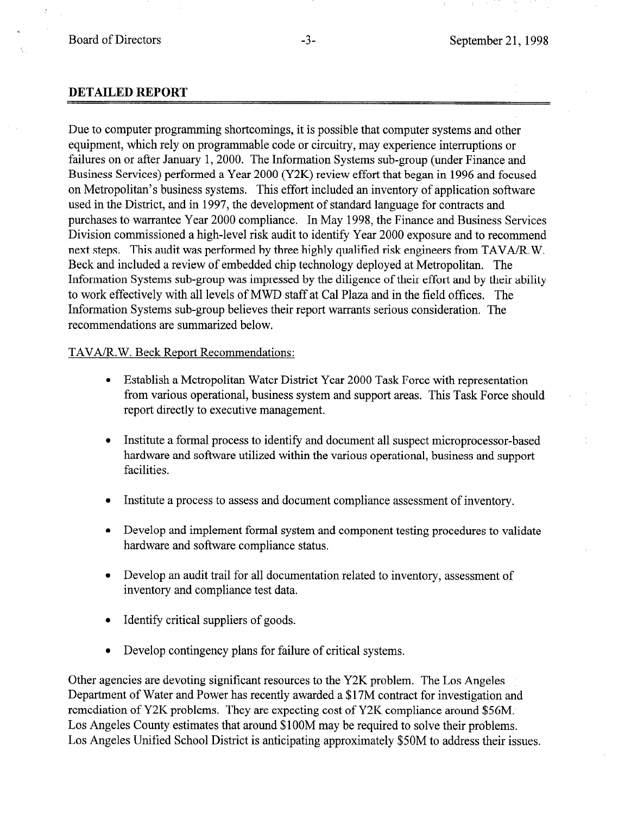#### DETAILED REPORT

Due to computer programming shortcomings, it is possible that computer systems and other equipment, which rely on programmable code or circuitry, may experience interruptions or failures on or after January 1, 2000. The Information Systems sub-group (under Finance and Business Services) performed a Year 2000 (Y2K) review effort that began in 1996 and focused on Metropolitan's business systems. This effort included an inventory of application software used in the District, and in 1997, the development of standard language for contracts and purchases to warrantee Year 2000 compliance. In May 1998, the Finance and Business Services Division commissioned a high-level risk audit to identify Year 2000 exposure and to recommend next steps. This audit was performed by three highly qualified risk engineers from TAVA/R.W. Beck and included a review of embedded chip technology deployed at Metropolitan. The Information Systems sub-group was impressed by the diligence of their effort and by their ability to work effectively with all levels of MWD staff at Cal Plaza and in the field offices. The Information Systems sub-group believes their report warrants serious consideration. The recommendations are summarized below.

#### TAVA/R. W. Beck Report Recommendations:

- <sup>l</sup>Establish a Metropolitan Water District Year 2000 Task Force with representation from various operational, business system and support areas. This Task Force should report directly to executive management.
- Institute a formal process to identify and document all suspect microprocessor-based hardware and software utilized within the various operational, business and support facilities.
- Institute a process to assess and document compliance assessment of inventory.
- Develop and implement formal system and component testing procedures to validate hardware and software compliance status.
- <sup>l</sup>Develop an audit trail for all documentation related to inventory, assessment of inventory and compliance test data.
- Identify critical suppliers of goods.
- Develop contingency plans for failure of critical systems.

Other agencies are devoting significant resources to the Y2K problem. The Los Angeles Department of Water and Power has recently awarded a \$17M contract for investigation and remediation of Y2K problems. They are expecting cost of Y2K compliance around \$56M. Los Angeles County estimates that around \$100M may be required to solve their problems. Los Angeles Unified School District is anticipating approximately \$50M to address their issues.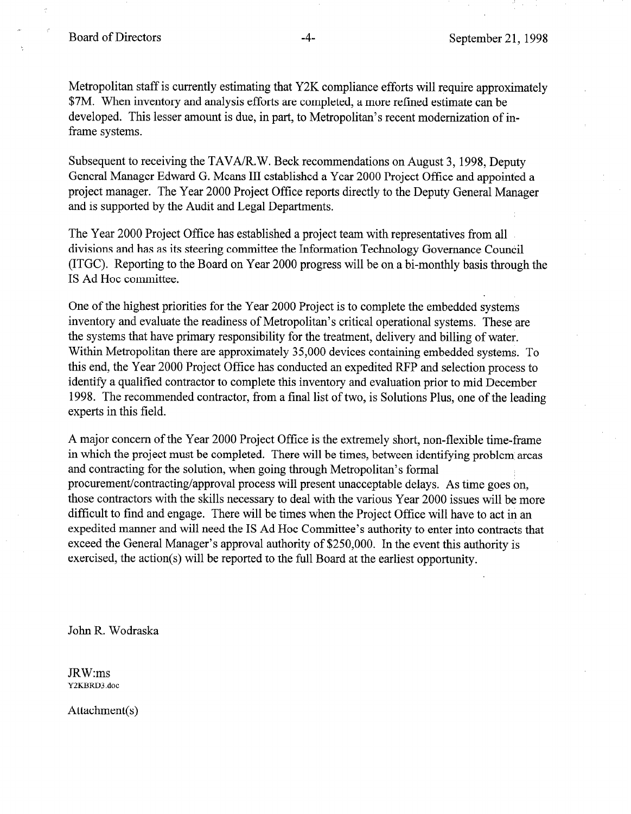Board of Directors -4- September 21, 1998

Metropolitan staff is currently estimating that Y2K compliance efforts will require approximately \$7M. When inventory and analysis efforts are completed, a more refined estimate can be developed. This lesser amount is due, in part, to Metropolitan's recent modernization of inframe systems.

Subsequent to receiving the TAVA/R.W. Beck recommendations on August 3, 1998, Deputy General Manager Edward G. Means III established a Year 2000 Project Office and appointed a project manager. The Year 2000 Project Office reports directly to the Deputy General Manager and is supported by the Audit and Legal Departments.

The Year 2000 Project Office has established a project team with representatives from all divisions and has as its steering committee the Information Technology Governance Council (ITGC). Reporting to the Board on Year 2000 progress will be on a bi-monthly basis through the IS Ad Hoc committee.

One of the highest priorities for the Year 2000 Project is to complete the embedded systems inventory and evaluate the readiness of Metropolitan's critical operational systems. These are the systems that have primary responsibility for the treatment, delivery and billing of water. Within Metropolitan there are approximately 35,000 devices containing embedded systems. To this end, the Year 2000 Project Office has conducted an expedited RFP and selection process to identify a qualified contractor to complete this inventory and evaluation prior to mid December 1998. The recommended contractor, from a final list of two, is Solutions Plus, one of the leading experts in this field.

A major concern of the Year 2000 Project Office is the extremely short, non-flexible time-frame in which the project must be completed. There will be times, between identifying problem areas and contracting for the solution, when going through Metropolitan's formal procurement/contracting/approval process will present unacceptable delays. As time goes on, those contractors with the skills necessary to deal with the various Year 2000 issues will be more difficult to find and engage. There will be times when the Project Office will have to act in an expedited manner and will need the IS Ad Hoc Committee's authority to enter into contracts that exceed the General Manager's approval authority of \$250,000. In the event this authority is exercised, the action(s) will be reported to the full Board at the earliest opportunity.

John R. Wodraska

JRW:ms Y2KBRD3.doc

Attachment(s)